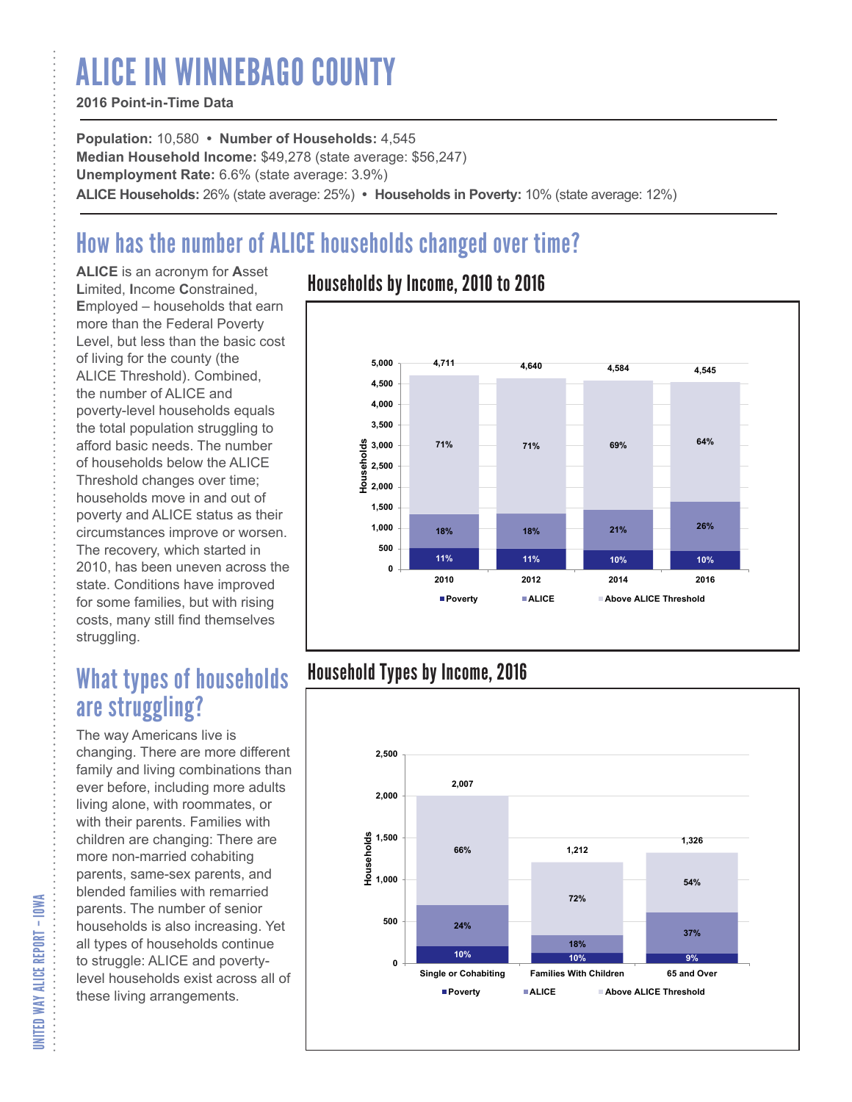# ALICE IN WINNEBAGO COUNTY

### **2016 Point-in-Time Data**

**Population:** 10,580 **• Number of Households:** 4,545 **Median Household Income:** \$49,278 (state average: \$56,247) **Unemployment Rate:** 6.6% (state average: 3.9%) **ALICE Households:** 26% (state average: 25%) **• Households in Poverty:** 10% (state average: 12%)

# How has the number of ALICE households changed over time?

**ALICE** is an acronym for **A**sset **L**imited, **I**ncome **C**onstrained, **E**mployed – households that earn more than the Federal Poverty Level, but less than the basic cost of living for the county (the ALICE Threshold). Combined, the number of ALICE and poverty-level households equals the total population struggling to afford basic needs. The number of households below the ALICE Threshold changes over time; households move in and out of poverty and ALICE status as their circumstances improve or worsen. The recovery, which started in 2010, has been uneven across the state. Conditions have improved for some families, but with rising costs, many still find themselves struggling.

## What types of households are struggling?

The way Americans live is changing. There are more different family and living combinations than ever before, including more adults living alone, with roommates, or with their parents. Families with children are changing: There are more non-married cohabiting parents, same-sex parents, and blended families with remarried parents. The number of senior households is also increasing. Yet all types of households continue to struggle: ALICE and povertylevel households exist across all of these living arrangements.

### Households by Income, 2010 to 2016



### Household Types by Income, 2016